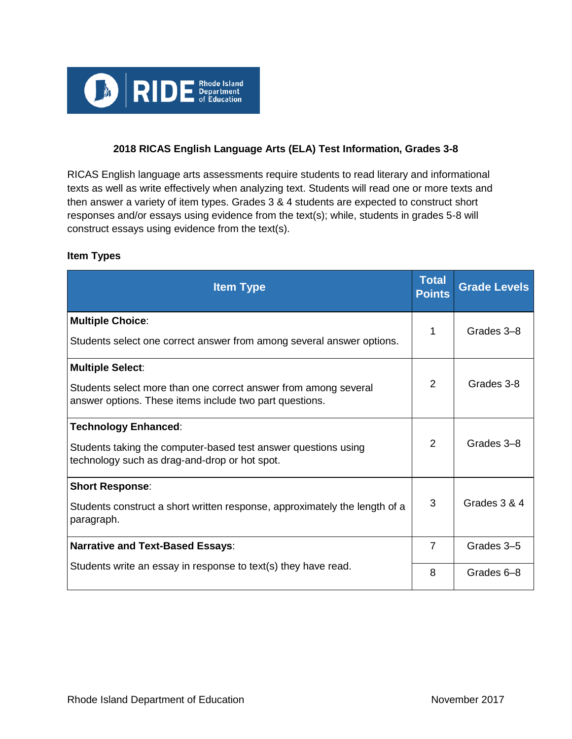

# **2018 RICAS English Language Arts (ELA) Test Information, Grades 3-8**

RICAS English language arts assessments require students to read literary and informational texts as well as write effectively when analyzing text. Students will read one or more texts and then answer a variety of item types. Grades 3 & 4 students are expected to construct short responses and/or essays using evidence from the text(s); while, students in grades 5-8 will construct essays using evidence from the text(s).

#### **Item Types**

| <b>Item Type</b>                                                                                                                                      | <b>Total</b><br><b>Points</b> | <b>Grade Levels</b> |
|-------------------------------------------------------------------------------------------------------------------------------------------------------|-------------------------------|---------------------|
| <b>Multiple Choice:</b><br>Students select one correct answer from among several answer options.                                                      | 1                             | Grades 3-8          |
| <b>Multiple Select:</b><br>Students select more than one correct answer from among several<br>answer options. These items include two part questions. | 2                             | Grades 3-8          |
| <b>Technology Enhanced:</b><br>Students taking the computer-based test answer questions using<br>technology such as drag-and-drop or hot spot.        | 2                             | Grades 3-8          |
| <b>Short Response:</b><br>Students construct a short written response, approximately the length of a<br>paragraph.                                    | 3                             | Grades 3 & 4        |
| <b>Narrative and Text-Based Essays:</b>                                                                                                               | $\overline{7}$                | Grades 3-5          |
| Students write an essay in response to text(s) they have read.                                                                                        | 8                             | Grades 6-8          |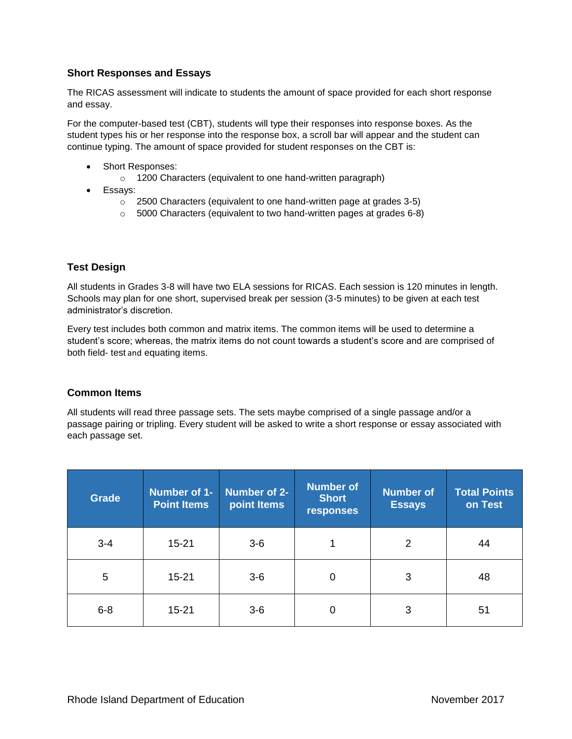# **Short Responses and Essays**

The RICAS assessment will indicate to students the amount of space provided for each short response and essay.

For the computer-based test (CBT), students will type their responses into response boxes. As the student types his or her response into the response box, a scroll bar will appear and the student can continue typing. The amount of space provided for student responses on the CBT is:

- Short Responses:
	- o 1200 Characters (equivalent to one hand-written paragraph)
- Essays:
	- o 2500 Characters (equivalent to one hand-written page at grades 3-5)
	- o 5000 Characters (equivalent to two hand-written pages at grades 6-8)

### **Test Design**

All students in Grades 3-8 will have two ELA sessions for RICAS. Each session is 120 minutes in length. Schools may plan for one short, supervised break per session (3-5 minutes) to be given at each test administrator's discretion.

Every test includes both common and matrix items. The common items will be used to determine a student's score; whereas, the matrix items do not count towards a student's score and are comprised of both field- test and equating items.

#### **Common Items**

All students will read three passage sets. The sets maybe comprised of a single passage and/or a passage pairing or tripling. Every student will be asked to write a short response or essay associated with each passage set.

| <b>Grade</b> | Number of 1-<br><b>Point Items</b> | Number of 2-<br>point Items | <b>Number of</b><br><b>Short</b><br>responses | <b>Number of</b><br><b>Essays</b> | <b>Total Points</b><br>on Test |
|--------------|------------------------------------|-----------------------------|-----------------------------------------------|-----------------------------------|--------------------------------|
| $3 - 4$      | $15 - 21$                          | $3-6$                       |                                               | $\overline{2}$                    | 44                             |
| 5            | $15 - 21$                          | $3-6$                       | 0                                             | 3                                 | 48                             |
| $6 - 8$      | $15 - 21$                          | $3-6$                       | 0                                             | 3                                 | 51                             |